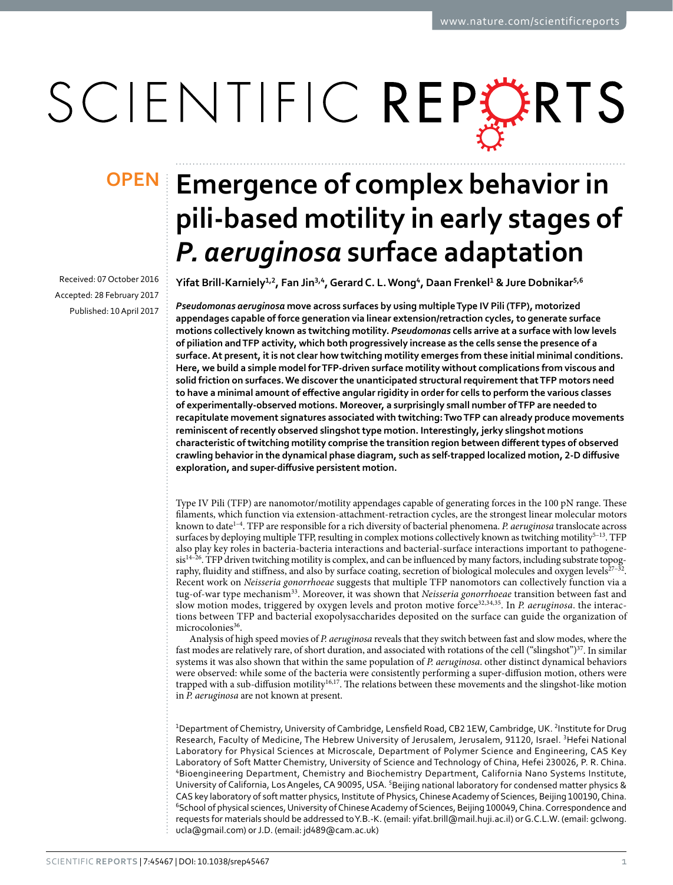# SCIENTIFIC REPERTS

Received: 07 October 2016 accepted: 28 February 2017 Published: 10 April 2017

## **Emergence of complex behavior in OPENpili-based motility in early stages of**  *P. aeruginosa* **surface adaptation**

Yifat Brill-Karniely<sup>1,2</sup>, Fan Jin<sup>3,4</sup>, Gerard C. L. Wong<sup>4</sup>, Daan Frenkel<sup>1</sup> & Jure Dobnikar<sup>5,6</sup>

*Pseudomonas aeruginosa* **move across surfaces by using multiple Type IV Pili (TFP), motorized appendages capable of force generation via linear extension/retraction cycles, to generate surface motions collectively known as twitching motility.** *Pseudomonas* **cells arrive at a surface with low levels of piliation and TFP activity, which both progressively increase as the cells sense the presence of a surface. At present, it is not clear how twitching motility emerges from these initial minimal conditions. Here, we build a simple model for TFP-driven surface motility without complications from viscous and solid friction on surfaces. We discover the unanticipated structural requirement that TFP motors need to have a minimal amount of effective angular rigidity in order for cells to perform the various classes of experimentally-observed motions. Moreover, a surprisingly small number of TFP are needed to recapitulate movement signatures associated with twitching: Two TFP can already produce movements reminiscent of recently observed slingshot type motion. Interestingly, jerky slingshot motions characteristic of twitching motility comprise the transition region between different types of observed crawling behavior in the dynamical phase diagram, such as self-trapped localized motion, 2-D diffusive exploration, and super-diffusive persistent motion.**

Type IV Pili (TFP) are nanomotor/motility appendages capable of generating forces in the 100 pN range. These filaments, which function via extension-attachment-retraction cycles, are the strongest linear molecular motors known to dat[e1–4.](#page-8-0) TFP are responsible for a rich diversity of bacterial phenomena. *P. aeruginosa* translocate across surfaces by deploying multiple TFP, resulting in complex motions collectively known as twitching motility<sup>5-13</sup>. TFP also play key roles in bacteria-bacteria interactions and bacterial-surface interactions important to pathogenesis<sup>14-26</sup>. TFP driven twitching motility is complex, and can be influenced by many factors, including substrate topography, fluidity and stiffness, and also by surface coating, secretion of biological molecules and oxygen levels $27-32$ . Recent work on *Neisseria gonorrhoeae* suggests that multiple TFP nanomotors can collectively function via a tug-of-war type mechanism[33](#page-9-0). Moreover, it was shown that *Neisseria gonorrhoeae* transition between fast and slow motion modes, triggered by oxygen levels and proton motive force<sup>32[,34](#page-9-2),[35](#page-9-3)</sup>. In *P. aeruginosa*. the interactions between TFP and bacterial exopolysaccharides deposited on the surface can guide the organization of microcolonies<sup>[36](#page-9-4)</sup>.

Analysis of high speed movies of *P. aeruginosa* reveals that they switch between fast and slow modes, where the fast modes are relatively rare, of short duration, and associated with rotations of the cell ("slingshot")<sup>[37](#page-9-5)</sup>. In similar systems it was also shown that within the same population of *P. aeruginosa*. other distinct dynamical behaviors were observed: while some of the bacteria were consistently performing a super-diffusion motion, others were trapped with a sub-diffusion motility<sup>[16,](#page-8-4)17</sup>. The relations between these movements and the slingshot-like motion in *P. aeruginosa* are not known at present.

<sup>1</sup>Department of Chemistry, University of Cambridge, Lensfield Road, CB2 1EW, Cambridge, UK. <sup>2</sup>Institute for Drug Research, Faculty of Medicine, The Hebrew University of Jerusalem, Jerusalem, 91120, Israel. <sup>3</sup>Hefei National Laboratory for Physical Sciences at Microscale, Department of Polymer Science and Engineering, CAS Key Laboratory of Soft Matter Chemistry, University of Science and Technology of China, Hefei 230026, P. R. China. 4Bioengineering Department, Chemistry and Biochemistry Department, California Nano Systems Institute, University of California, Los Angeles, CA 90095, USA. <sup>5</sup>Beijing national laboratory for condensed matter physics & CAS key laboratory of soft matter physics, Institute of Physics, Chinese Academy of Sciences, Beijing 100190, China. 6 School of physical sciences, University of Chinese Academy of Sciences, Beijing 100049, China. Correspondence and requests for materials should be addressed to Y.B.-K. (email: [yifat.brill@mail.huji.ac.il\)](mailto:yifat.brill@mail.huji.ac.il) or G.C.L.W. (email: [gclwong.](mailto:gclwong.ucla@gmail.com) [ucla@gmail.com\)](mailto:gclwong.ucla@gmail.com) or J.D. (email: [jd489@cam.ac.uk\)](mailto:jd489@cam.ac.uk)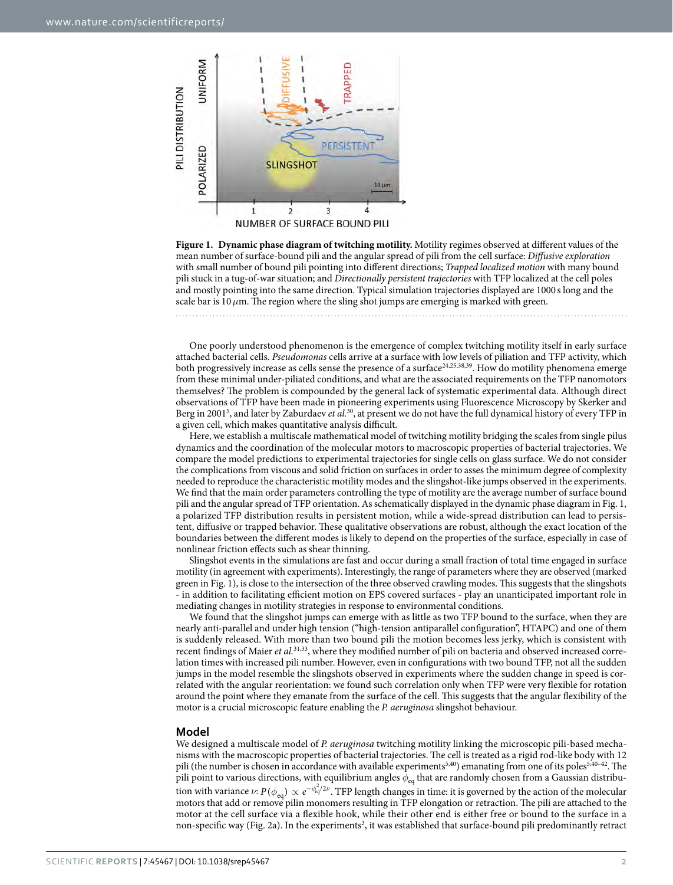

<span id="page-1-0"></span>**Figure 1. Dynamic phase diagram of twitching motility.** Motility regimes observed at different values of the mean number of surface-bound pili and the angular spread of pili from the cell surface: *Diffusive exploration* with small number of bound pili pointing into different directions; *Trapped localized motion* with many bound pili stuck in a tug-of-war situation; and *Directionally persistent trajectories* with TFP localized at the cell poles and mostly pointing into the same direction. Typical simulation trajectories displayed are 1000 s long and the scale bar is 10  $\mu$ m. The region where the sling shot jumps are emerging is marked with green.

One poorly understood phenomenon is the emergence of complex twitching motility itself in early surface attached bacterial cells. *Pseudomonas* cells arrive at a surface with low levels of piliation and TFP activity, which both progressively increase as cells sense the presence of a surfac[e24](#page-8-6)[,25](#page-8-7)[,38](#page-9-6)[,39.](#page-9-7) How do motility phenomena emerge from these minimal under-piliated conditions, and what are the associated requirements on the TFP nanomotors themselves? The problem is compounded by the general lack of systematic experimental data. Although direct observations of TFP have been made in pioneering experiments using Fluorescence Microscopy by Skerker and Berg in 200[15](#page-8-1) , and later by Zaburdaev *et al.*[30,](#page-9-8) at present we do not have the full dynamical history of every TFP in a given cell, which makes quantitative analysis difficult.

Here, we establish a multiscale mathematical model of twitching motility bridging the scales from single pilus dynamics and the coordination of the molecular motors to macroscopic properties of bacterial trajectories. We compare the model predictions to experimental trajectories for single cells on glass surface. We do not consider the complications from viscous and solid friction on surfaces in order to asses the minimum degree of complexity needed to reproduce the characteristic motility modes and the slingshot-like jumps observed in the experiments. We find that the main order parameters controlling the type of motility are the average number of surface bound pili and the angular spread of TFP orientation. As schematically displayed in the dynamic phase diagram in [Fig. 1,](#page-1-0) a polarized TFP distribution results in persistent motion, while a wide-spread distribution can lead to persistent, diffusive or trapped behavior. These qualitative observations are robust, although the exact location of the boundaries between the different modes is likely to depend on the properties of the surface, especially in case of nonlinear friction effects such as shear thinning.

Slingshot events in the simulations are fast and occur during a small fraction of total time engaged in surface motility (in agreement with experiments). Interestingly, the range of parameters where they are observed (marked green in [Fig. 1\)](#page-1-0), is close to the intersection of the three observed crawling modes. This suggests that the slingshots - in addition to facilitating efficient motion on EPS covered surfaces - play an unanticipated important role in mediating changes in motility strategies in response to environmental conditions.

We found that the slingshot jumps can emerge with as little as two TFP bound to the surface, when they are nearly anti-parallel and under high tension ("high-tension antiparallel configuration", HTAPC) and one of them is suddenly released. With more than two bound pili the motion becomes less jerky, which is consistent with recent findings of Maier *et al.*[31](#page-9-9),[33](#page-9-0), where they modified number of pili on bacteria and observed increased correlation times with increased pili number. However, even in configurations with two bound TFP, not all the sudden jumps in the model resemble the slingshots observed in experiments where the sudden change in speed is correlated with the angular reorientation: we found such correlation only when TFP were very flexible for rotation around the point where they emanate from the surface of the cell. This suggests that the angular flexibility of the motor is a crucial microscopic feature enabling the *P. aeruginosa* slingshot behaviour.

#### **Model**

We designed a multiscale model of *P. aeruginosa* twitching motility linking the microscopic pili-based mechanisms with the macroscopic properties of bacterial trajectories. The cell is treated as a rigid rod-like body with 12 pili (the number is chosen in accordance with available experiments<sup>5,40</sup>) emanating from one of its poles<sup>5,40–42</sup>. The pili point to various directions, with equilibrium angles *φ*eq that are randomly chosen from a Gaussian distribution with variance  $\nu$ :  $P(\phi_{eq}) \propto e^{-\phi_{eq}^2/2\nu}$ . TFP length changes in time: it is governed by the action of the molecular motors that add or remove pilin monomers resulting in TFP elongation or retraction. The pili are attached to the motor at the cell surface via a flexible hook, while their other end is either free or bound to the surface in a non-specific way [\(Fig. 2a\)](#page-2-0). In the experiments<sup>[3](#page-8-8)</sup>, it was established that surface-bound pili predominantly retract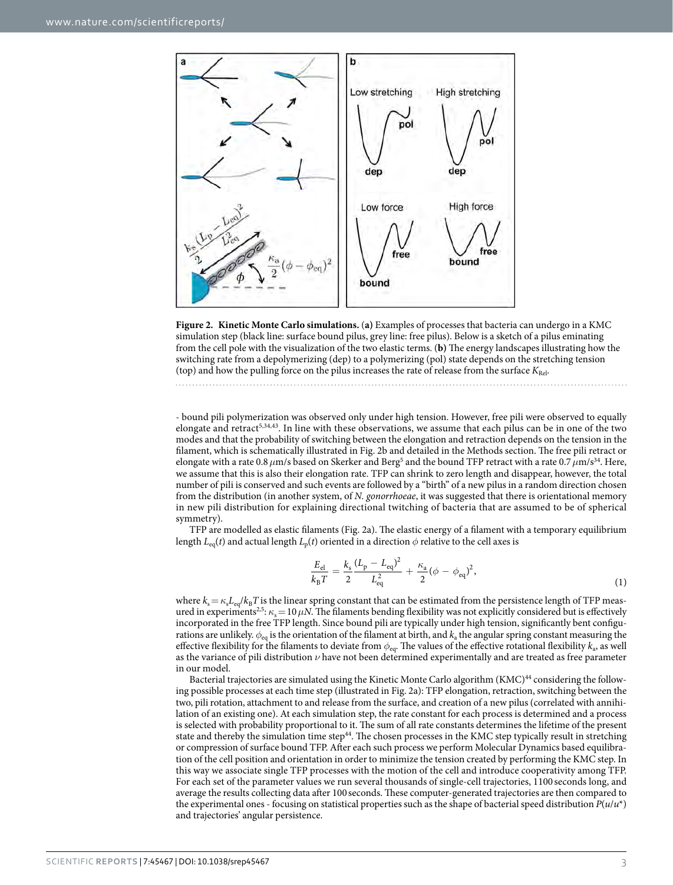

<span id="page-2-0"></span>**Figure 2. Kinetic Monte Carlo simulations.** (**a)** Examples of processes that bacteria can undergo in a KMC simulation step (black line: surface bound pilus, grey line: free pilus). Below is a sketch of a pilus eminating from the cell pole with the visualization of the two elastic terms. (**b)** The energy landscapes illustrating how the switching rate from a depolymerizing (dep) to a polymerizing (pol) state depends on the stretching tension (top) and how the pulling force on the pilus increases the rate of release from the surface  $K_{\text{Rel}}$ .

- bound pili polymerization was observed only under high tension. However, free pili were observed to equally elongate and retract<sup>5[,34](#page-9-2),[43](#page-9-11)</sup>. In line with these observations, we assume that each pilus can be in one of the two modes and that the probability of switching between the elongation and retraction depends on the tension in the filament, which is schematically illustrated in [Fig. 2b](#page-2-0) and detailed in the Methods section. The free pili retract or elongate with a rate 0.8 μm/s based on Skerker and Berg<sup>5</sup> and the bound TFP retract with a rate 0.7 μm/s<sup>[34](#page-9-2)</sup>. Here, we assume that this is also their elongation rate. TFP can shrink to zero length and disappear, however, the total number of pili is conserved and such events are followed by a "birth" of a new pilus in a random direction chosen from the distribution (in another system, of *N. gonorrhoeae*, it was suggested that there is orientational memory in new pili distribution for explaining directional twitching of bacteria that are assumed to be of spherical symmetry).

TFP are modelled as elastic filaments ([Fig. 2a\)](#page-2-0). The elastic energy of a filament with a temporary equilibrium length  $L_{eq}(t)$  and actual length  $L_p(t)$  oriented in a direction  $\phi$  relative to the cell axes is

$$
\frac{E_{\rm el}}{k_{\rm B}T} = \frac{k_{\rm s}}{2} \frac{(L_{\rm p} - L_{\rm eq})^2}{L_{\rm eq}^2} + \frac{\kappa_{\rm a}}{2} (\phi - \phi_{\rm eq})^2,\tag{1}
$$

where  $k_s = \kappa_s L_{eq}/k_B T$  is the linear spring constant that can be estimated from the persistence length of TFP meas-ured in experiments<sup>[2,](#page-8-9)5</sup>:  $\kappa_s = 10 \,\mu\text{N}$ . The filaments bending flexibility was not explicitly considered but is effectively incorporated in the free TFP length. Since bound pili are typically under high tension, significantly bent configurations are unlikely.  $\phi_{eq}$  is the orientation of the filament at birth, and  $k_a$  the angular spring constant measuring the effective flexibility for the filaments to deviate from *φ*eq. The values of the effective rotational flexibility *k*a, as well as the variance of pili distribution *ν* have not been determined experimentally and are treated as free parameter in our model.

Bacterial trajectories are simulated using the Kinetic Monte Carlo algorithm (KMC)<sup>[44](#page-9-12)</sup> considering the following possible processes at each time step (illustrated in [Fig. 2a\)](#page-2-0): TFP elongation, retraction, switching between the two, pili rotation, attachment to and release from the surface, and creation of a new pilus (correlated with annihilation of an existing one). At each simulation step, the rate constant for each process is determined and a process is selected with probability proportional to it. The sum of all rate constants determines the lifetime of the present state and thereby the simulation time step<sup>44</sup>. The chosen processes in the KMC step typically result in stretching or compression of surface bound TFP. After each such process we perform Molecular Dynamics based equilibration of the cell position and orientation in order to minimize the tension created by performing the KMC step. In this way we associate single TFP processes with the motion of the cell and introduce cooperativity among TFP. For each set of the parameter values we run several thousands of single-cell trajectories, 1100 seconds long, and average the results collecting data after 100seconds. These computer-generated trajectories are then compared to the experimental ones - focusing on statistical properties such as the shape of bacterial speed distribution *P*(*u*/*u*\*) and trajectories' angular persistence.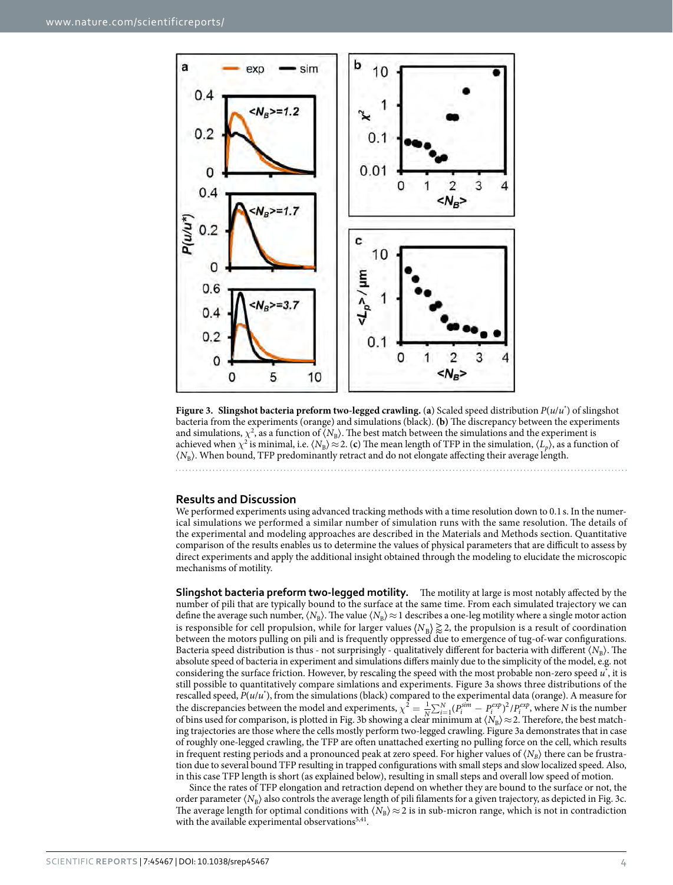

<span id="page-3-0"></span>**Figure 3. Slingshot bacteria preform two-legged crawling.** (**a**) Scaled speed distribution *P*(*u*/*u*\* ) of slingshot bacteria from the experiments (orange) and simulations (black). **(b)** The discrepancy between the experiments and simulations,  $\chi^2$ , as a function of  $\langle N_{\rm B} \rangle$ . The best match between the simulations and the experiment is achieved when  $\chi^2$  is minimal, i.e.  $\langle N_B \rangle \approx$  2. (c) The mean length of TFP in the simulation,  $\langle L_p \rangle$ , as a function of  $\langle N_{\rm B} \rangle$ . When bound, TFP predominantly retract and do not elongate affecting their average length.

### **Results and Discussion**

We performed experiments using advanced tracking methods with a time resolution down to 0.1s. In the numerical simulations we performed a similar number of simulation runs with the same resolution. The details of the experimental and modeling approaches are described in the Materials and Methods section. Quantitative comparison of the results enables us to determine the values of physical parameters that are difficult to assess by direct experiments and apply the additional insight obtained through the modeling to elucidate the microscopic mechanisms of motility.

**Slingshot bacteria preform two-legged motility.** The motility at large is most notably affected by the number of pili that are typically bound to the surface at the same time. From each simulated trajectory we can define the average such number,  $\langle N_B \rangle$ . The value  $\langle N_B \rangle \approx 1$  describes a one-leg motility where a single motor action is responsible for cell propulsion, while for larger values  $\langle N_{\rm B} \rangle \gtrapprox 2$ , the propulsion is a result of coordination between the motors pulling on pili and is frequently oppressed due to emergence of tug-of-war configurations. Bacteria speed distribution is thus - not surprisingly - qualitatively different for bacteria with different  $\langle N_{\rm B} \rangle$ . The absolute speed of bacteria in experiment and simulations differs mainly due to the simplicity of the model, e.g. not considering the surface friction. However, by rescaling the speed with the most probable non-zero speed u<sup>\*</sup>, it is still possible to quantitatively compare simlations and experiments. [Figure 3a](#page-3-0) shows three distributions of the rescalled speed,  $P(u/u^*)$ , from the simulations (black) compared to the experimental data (orange). A measure for the discrepancies between the model and experiments,  $\chi^2 = \frac{1}{N} \sum_{i=1}^N (P_i^{\text{sim}} - P_i^{\text{exp}})^2 / P_i^{\text{exp}}$ , where *N* is the number of bins used for comparison, is plotted in [Fig. 3b](#page-3-0) showing a clear minimum at  $\langle N_B \rangle \approx 2$ . Therefore, the best matching trajectories are those where the cells mostly perform two-legged crawling. [Figure 3a](#page-3-0) demonstrates that in case of roughly one-legged crawling, the TFP are often unattached exerting no pulling force on the cell, which results in frequent resting periods and a pronounced peak at zero speed. For higher values of  $\langle N_B \rangle$  there can be frustration due to several bound TFP resulting in trapped configurations with small steps and slow localized speed. Also, in this case TFP length is short (as explained below), resulting in small steps and overall low speed of motion.

Since the rates of TFP elongation and retraction depend on whether they are bound to the surface or not, the order parameter  $\langle N_{\rm B} \rangle$  also controls the average length of pili filaments for a given trajectory, as depicted in [Fig. 3c.](#page-3-0) The average length for optimal conditions with  $\langle N_B \rangle \approx 2$  is in sub-micron range, which is not in contradiction with the available experimental observations<sup>[5,](#page-8-1)41</sup>.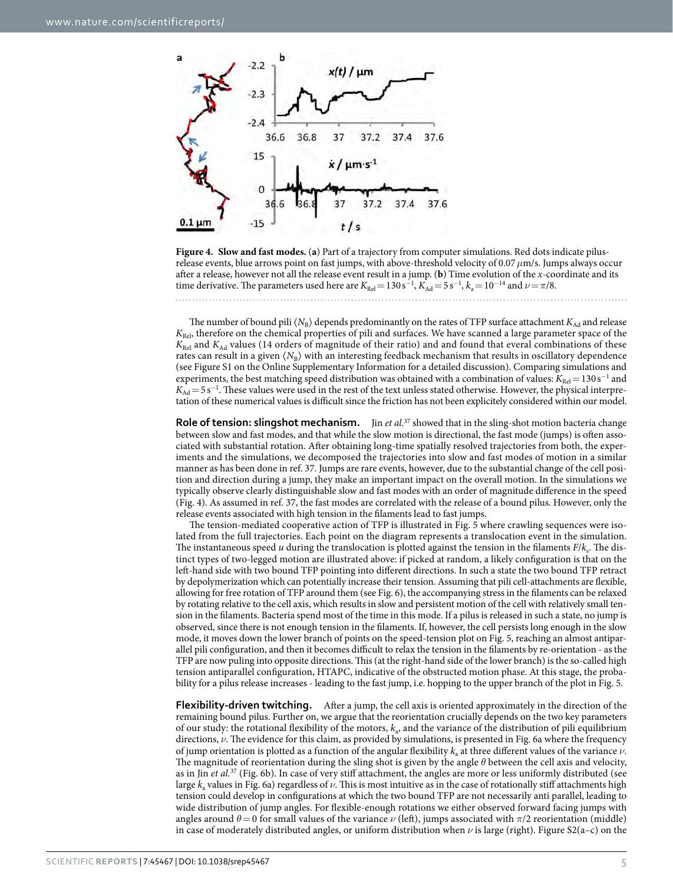

<span id="page-4-0"></span>**Figure 4. Slow and fast modes.** (**a**) Part of a trajectory from computer simulations. Red dots indicate pilusrelease events, blue arrows point on fast jumps, with above-threshold velocity of 0.07*μ*m/s. Jumps always occur after a release, however not all the release event result in a jump. (**b**) Time evolution of the *x*-coordinate and its time derivative. The parameters used here are  $K_{\text{Rel}} = 130 s^{-1}$ ,  $K_{\text{Ad}} = 5 s^{-1}$ ,  $k_{\text{a}} = 10^{-14}$  and  $\nu = \pi/8$ . 

The number of bound pili  $\langle N_B \rangle$  depends predominantly on the rates of TFP surface attachment  $K_{Ad}$  and release *K*<sub>Rel</sub>, therefore on the chemical properties of pili and surfaces. We have scanned a large parameter space of the  $K_{\text{Rel}}$  and  $K_{\text{Ad}}$  values (14 orders of magnitude of their ratio) and and found that everal combinations of these rates can result in a given  $\langle N_B \rangle$  with an interesting feedback mechanism that results in oscillatory dependence (see Figure S1 on the Online Supplementary Information for a detailed discussion). Comparing simulations and experiments, the best matching speed distribution was obtained with a combination of values:  $K_{\text{Rel}} = 130 \text{ s}^{-1}$  and *K*<sub>Ad</sub> = 5 s<sup>−1</sup>. These values were used in the rest of the text unless stated otherwise. However, the physical interpretation of these numerical values is difficult since the friction has not been explicitely considered within our model.

**Role of tension: slingshot mechanism.** Jin *et al.*<sup>[37](#page-9-5)</sup> showed that in the sling-shot motion bacteria change between slow and fast modes, and that while the slow motion is directional, the fast mode (jumps) is often associated with substantial rotation. After obtaining long-time spatially resolved trajectories from both, the experiments and the simulations, we decomposed the trajectories into slow and fast modes of motion in a similar manner as has been done in ref. [37](#page-9-5). Jumps are rare events, however, due to the substantial change of the cell position and direction during a jump, they make an important impact on the overall motion. In the simulations we typically observe clearly distinguishable slow and fast modes with an order of magnitude difference in the speed ([Fig. 4](#page-4-0)). As assumed in ref. [37,](#page-9-5) the fast modes are correlated with the release of a bound pilus. However, only the release events associated with high tension in the filaments lead to fast jumps.

The tension-mediated cooperative action of TFP is illustrated in [Fig. 5](#page-5-0) where crawling sequences were isolated from the full trajectories. Each point on the diagram represents a translocation event in the simulation. The instantaneous speed *u* during the translocation is plotted against the tension in the filaments  $F/k_s$ . The distinct types of two-legged motion are illustrated above: if picked at random, a likely configuration is that on the left-hand side with two bound TFP pointing into different directions. In such a state the two bound TFP retract by depolymerization which can potentially increase their tension. Assuming that pili cell-attachments are flexible, allowing for free rotation of TFP around them (see [Fig. 6\)](#page-5-1), the accompanying stress in the filaments can be relaxed by rotating relative to the cell axis, which results in slow and persistent motion of the cell with relatively small tension in the filaments. Bacteria spend most of the time in this mode. If a pilus is released in such a state, no jump is observed, since there is not enough tension in the filaments. If, however, the cell persists long enough in the slow mode, it moves down the lower branch of points on the speed-tension plot on [Fig. 5,](#page-5-0) reaching an almost antiparallel pili configuration, and then it becomes difficult to relax the tension in the filaments by re-orientation - as the TFP are now puling into opposite directions. This (at the right-hand side of the lower branch) is the so-called high tension antiparallel configuration, HTAPC, indicative of the obstructed motion phase. At this stage, the probability for a pilus release increases - leading to the fast jump, i.e. hopping to the upper branch of the plot in [Fig. 5](#page-5-0).

**Flexibility-driven twitching.** After a jump, the cell axis is oriented approximately in the direction of the remaining bound pilus. Further on, we argue that the reorientation crucially depends on the two key parameters of our study: the rotational flexibility of the motors,  $k_a$ , and the variance of the distribution of pili equilibrium directions, *ν*. The evidence for this claim, as provided by simulations, is presented in [Fig. 6a](#page-5-1) where the frequency of jump orientation is plotted as a function of the angular flexibility *k*a at three different values of the variance *ν*. The magnitude of reorientation during the sling shot is given by the angle *θ* between the cell axis and velocity, as in Jin *et al.*<sup>37</sup> ([Fig. 6b\)](#page-5-1). In case of very stiff attachment, the angles are more or less uniformly distributed (see large *k*a values in [Fig. 6a](#page-5-1)) regardless of *ν*. This is most intuitive as in the case of rotationally stiff attachments high tension could develop in configurations at which the two bound TFP are not necessarily anti parallel, leading to wide distribution of jump angles. For flexible-enough rotations we either observed forward facing jumps with angles around  $\theta = 0$  for small values of the variance  $\nu$  (left), jumps associated with  $\pi/2$  reorientation (middle) in case of moderately distributed angles, or uniform distribution when *ν* is large (right). Figure S2(a–c) on the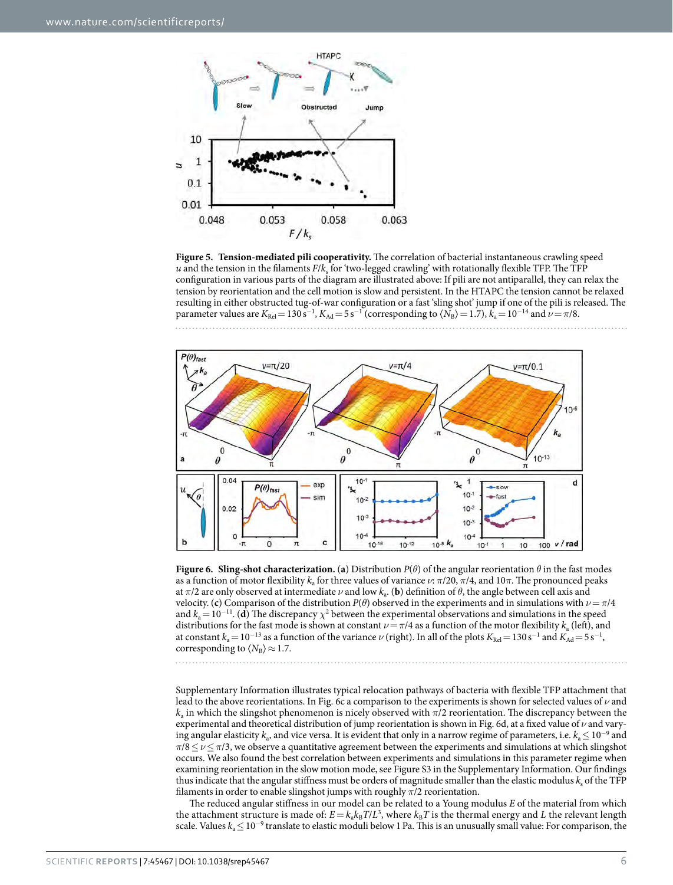

<span id="page-5-0"></span>**Figure 5. Tension-mediated pili cooperativity.** The correlation of bacterial instantaneous crawling speed *u* and the tension in the filaments *F*/*k*s for 'two-legged crawling' with rotationally flexible TFP. The TFP configuration in various parts of the diagram are illustrated above: If pili are not antiparallel, they can relax the tension by reorientation and the cell motion is slow and persistent. In the HTAPC the tension cannot be relaxed resulting in either obstructed tug-of-war configuration or a fast 'sling shot' jump if one of the pili is released. The parameter values are  $K_{\rm Rel}$  = 130 s<sup>-1</sup>,  $K_{\rm Ad}$  = 5 s<sup>-1</sup> (corresponding to  $\langle N_{\rm B} \rangle$  = 1.7),  $k_{\rm a}$  = 10<sup>-14</sup> and  $\nu$  =  $\pi$ /8.



<span id="page-5-1"></span>**Figure 6.** Sling-shot characterization. (a) Distribution  $P(\theta)$  of the angular reorientation  $\theta$  in the fast modes as a function of motor flexibility  $k_a$  for three values of variance  $\nu$ :  $\pi/20$ ,  $\pi/4$ , and  $10\pi$ . The pronounced peaks at  $\pi/2$  are only observed at intermediate  $\nu$  and low  $k_a$ . (**b**) definition of  $\theta$ , the angle between cell axis and velocity. (**c**) Comparison of the distribution *P*(*θ*) observed in the experiments and in simulations with *ν*=*π*/4 and  $k_a=10^{-11}$ . (**d**) The discrepancy  $\chi^2$  between the experimental observations and simulations in the speed distributions for the fast mode is shown at constant *ν*=*π*/4 as a function of the motor flexibility *k*a (left), and at constant  $k_a=10^{-13}$  as a function of the variance *v* (right). In all of the plots  $K_{\text{Rel}}=130 \text{ s}^{-1}$  and  $K_{\text{Ad}}=5 \text{ s}^{-1}$ , corresponding to  $\langle N_{\rm B} \rangle \approx 1.7$ .

Supplementary Information illustrates typical relocation pathways of bacteria with flexible TFP attachment that lead to the above reorientations. In [Fig. 6c](#page-5-1) a comparison to the experiments is shown for selected values of *ν* and *k*a in which the slingshot phenomenon is nicely observed with *π*/2 reorientation. The discrepancy between the experimental and theoretical distribution of jump reorientation is shown in [Fig. 6d](#page-5-1), at a fixed value of *ν* and varying angular elasticity  $k_{\rm a}$  and vice versa. It is evident that only in a narrow regime of parameters, i.e.  $k_{\rm a}\!\leq\!10^{-9}$  and *π*/8≤*ν*≤*π*/3, we observe a quantitative agreement between the experiments and simulations at which slingshot occurs. We also found the best correlation between experiments and simulations in this parameter regime when examining reorientation in the slow motion mode, see Figure S3 in the Supplementary Information. Our findings thus indicate that the angular stiffness must be orders of magnitude smaller than the elastic modulus  $k<sub>s</sub>$  of the TFP filaments in order to enable slingshot jumps with roughly *π*/2 reorientation.

The reduced angular stiffness in our model can be related to a Young modulus *E* of the material from which the attachment structure is made of:  $E = k_a k_B T/L^3$ , where  $k_B T$  is the thermal energy and *L* the relevant length scale. Values *k*a≤ 10<sup>−</sup><sup>9</sup> translate to elastic moduli below 1Pa. This is an unusually small value: For comparison, the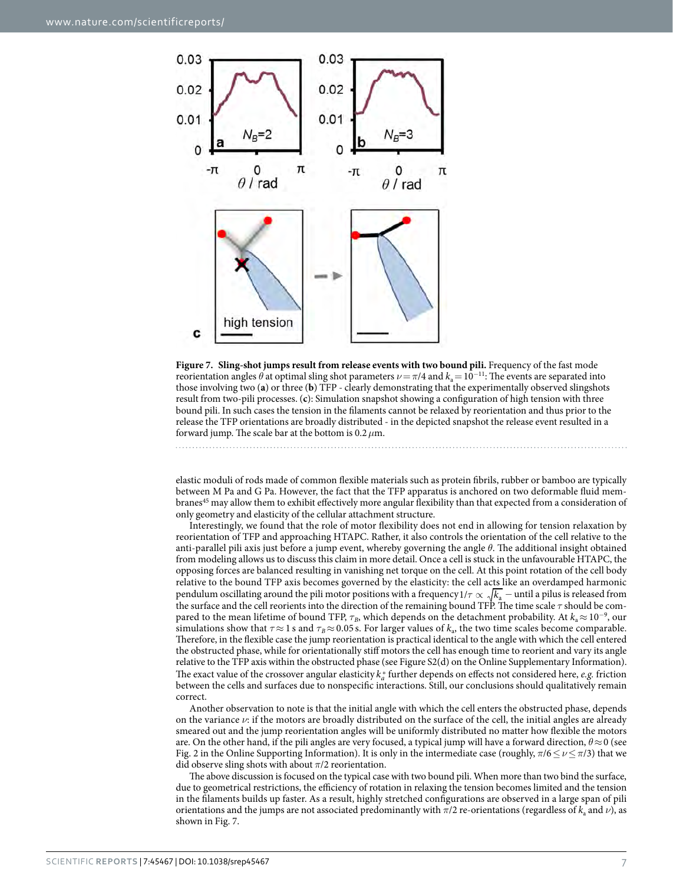

<span id="page-6-0"></span>**Figure 7. Sling-shot jumps result from release events with two bound pili.** Frequency of the fast mode reorientation angles *θ* at optimal sling shot parameters  $ν = π/4$  and  $k_a = 10^{-11}$ . The events are separated into those involving two (**a**) or three (**b**) TFP - clearly demonstrating that the experimentally observed slingshots result from two-pili processes. (**c**): Simulation snapshot showing a configuration of high tension with three bound pili. In such cases the tension in the filaments cannot be relaxed by reorientation and thus prior to the release the TFP orientations are broadly distributed - in the depicted snapshot the release event resulted in a forward jump. The scale bar at the bottom is 0.2*μ*m.

elastic moduli of rods made of common flexible materials such as protein fibrils, rubber or bamboo are typically between M Pa and G Pa. However, the fact that the TFP apparatus is anchored on two deformable fluid membranes<sup>45</sup> may allow them to exhibit effectively more angular flexibility than that expected from a consideration of only geometry and elasticity of the cellular attachment structure.

Interestingly, we found that the role of motor flexibility does not end in allowing for tension relaxation by reorientation of TFP and approaching HTAPC. Rather, it also controls the orientation of the cell relative to the anti-parallel pili axis just before a jump event, whereby governing the angle *θ*. The additional insight obtained from modeling allows us to discuss this claim in more detail. Once a cell is stuck in the unfavourable HTAPC, the opposing forces are balanced resulting in vanishing net torque on the cell. At this point rotation of the cell body relative to the bound TFP axis becomes governed by the elasticity: the cell acts like an overdamped harmonic pendulum oscillating around the pili motor positions with a frequency  $1/\tau \propto \sqrt{k_a}$  − until a pilus is released from the surface and the cell reorients into the direction of the remaining bound TFP. The time scale *τ* should be compared to the mean lifetime of bound TFP,  $\tau_B$ , which depends on the detachment probability. At  $k_a \approx 10^{-9}$ , our simulations show that  $\tau \approx 1$  s and  $\tau_B \approx 0.05$  s. For larger values of  $k_a$ , the two time scales become comparable. Therefore, in the flexible case the jump reorientation is practical identical to the angle with which the cell entered the obstructed phase, while for orientationally stiff motors the cell has enough time to reorient and vary its angle relative to the TFP axis within the obstructed phase (see Figure S2(d) on the Online Supplementary Information). The exact value of the crossover angular elasticity  $k_a^*$  further depends on effects not considered here, *e.g.* friction between the cells and surfaces due to nonspecific interactions. Still, our conclusions should qualitatively remain correct.

Another observation to note is that the initial angle with which the cell enters the obstructed phase, depends on the variance *ν*: if the motors are broadly distributed on the surface of the cell, the initial angles are already smeared out and the jump reorientation angles will be uniformly distributed no matter how flexible the motors are. On the other hand, if the pili angles are very focused, a typical jump will have a forward direction, *θ*≈0 (see [Fig. 2](#page-2-0) in the Online Supporting Information). It is only in the intermediate case (roughly, *π*/6≤*ν*≤*π*/3) that we did observe sling shots with about *π*/2 reorientation.

The above discussion is focused on the typical case with two bound pili. When more than two bind the surface, due to geometrical restrictions, the efficiency of rotation in relaxing the tension becomes limited and the tension in the filaments builds up faster. As a result, highly stretched configurations are observed in a large span of pili orientations and the jumps are not associated predominantly with *π*/2 re-orientations (regardless of *k*a and *ν*), as shown in [Fig. 7.](#page-6-0)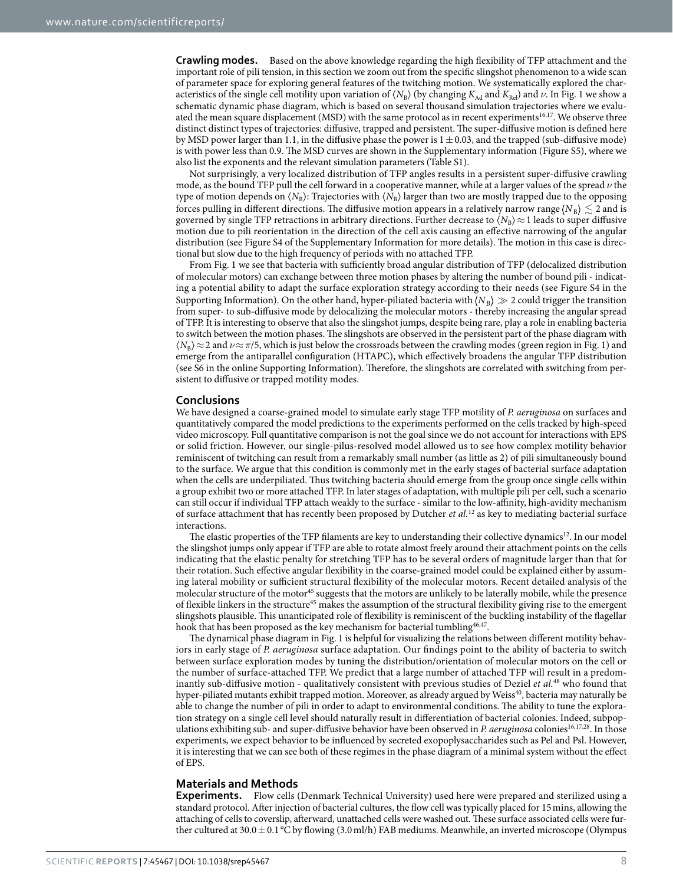**Crawling modes.** Based on the above knowledge regarding the high flexibility of TFP attachment and the important role of pili tension, in this section we zoom out from the specific slingshot phenomenon to a wide scan of parameter space for exploring general features of the twitching motion. We systematically explored the characteristics of the single cell motility upon variation of  $\langle N_{\rm B} \rangle$  (by changing  $K_{\rm Ad}$  and  $K_{\rm Rel}$ ) and  $\nu$ . In [Fig. 1](#page-1-0) we show a schematic dynamic phase diagram, which is based on several thousand simulation trajectories where we evalu-ated the mean square displacement (MSD) with the same protocol as in recent experiments<sup>[16,](#page-8-4)17</sup>. We observe three distinct distinct types of trajectories: diffusive, trapped and persistent. The super-diffusive motion is defined here by MSD power larger than 1.1, in the diffusive phase the power is  $1 \pm 0.03$ , and the trapped (sub-diffusive mode) is with power less than 0.9. The MSD curves are shown in the Supplementary information (Figure S5), where we also list the exponents and the relevant simulation parameters (Table S1).

Not surprisingly, a very localized distribution of TFP angles results in a persistent super-diffusive crawling mode, as the bound TFP pull the cell forward in a cooperative manner, while at a larger values of the spread *ν* the type of motion depends on  $\langle N_B \rangle$ : Trajectories with  $\langle N_B \rangle$  larger than two are mostly trapped due to the opposing forces pulling in different directions. The diffusive motion appears in a relatively narrow range  $\langle N_{\rm R} \rangle \lesssim 2$  and is governed by single TFP retractions in arbitrary directions. Further decrease to  $\langle N_B \rangle \approx 1$  leads to super diffusive motion due to pili reorientation in the direction of the cell axis causing an effective narrowing of the angular distribution (see Figure S4 of the Supplementary Information for more details). The motion in this case is directional but slow due to the high frequency of periods with no attached TFP.

From [Fig. 1](#page-1-0) we see that bacteria with sufficiently broad angular distribution of TFP (delocalized distribution of molecular motors) can exchange between three motion phases by altering the number of bound pili - indicating a potential ability to adapt the surface exploration strategy according to their needs (see Figure S4 in the Supporting Information). On the other hand, hyper-piliated bacteria with  $\langle N_B \rangle \gg 2$  could trigger the transition from super- to sub-diffusive mode by delocalizing the molecular motors - thereby increasing the angular spread of TFP. It is interesting to observe that also the slingshot jumps, despite being rare, play a role in enabling bacteria to switch between the motion phases. The slingshots are observed in the persistent part of the phase diagram with  $\langle N_B \rangle \approx 2$  and  $\nu \approx \pi/5$ , which is just below the crossroads between the crawling modes (green region in [Fig. 1](#page-1-0)) and emerge from the antiparallel configuration (HTAPC), which effectively broadens the angular TFP distribution (see S6 in the online Supporting Information). Therefore, the slingshots are correlated with switching from persistent to diffusive or trapped motility modes.

#### **Conclusions**

We have designed a coarse-grained model to simulate early stage TFP motility of *P. aeruginosa* on surfaces and quantitatively compared the model predictions to the experiments performed on the cells tracked by high-speed video microscopy. Full quantitative comparison is not the goal since we do not account for interactions with EPS or solid friction. However, our single-pilus-resolved model allowed us to see how complex motility behavior reminiscent of twitching can result from a remarkably small number (as little as 2) of pili simultaneously bound to the surface. We argue that this condition is commonly met in the early stages of bacterial surface adaptation when the cells are underpiliated. Thus twitching bacteria should emerge from the group once single cells within a group exhibit two or more attached TFP. In later stages of adaptation, with multiple pili per cell, such a scenario can still occur if individual TFP attach weakly to the surface - similar to the low-affinity, high-avidity mechanism of surface attachment that has recently been proposed by Dutcher *et al.*[12](#page-8-10) as key to mediating bacterial surface interactions.

The elastic properties of the TFP filaments are key to understanding their collective dynamics<sup>12</sup>. In our model the slingshot jumps only appear if TFP are able to rotate almost freely around their attachment points on the cells indicating that the elastic penalty for stretching TFP has to be several orders of magnitude larger than that for their rotation. Such effective angular flexibility in the coarse-grained model could be explained either by assuming lateral mobility or sufficient structural flexibility of the molecular motors. Recent detailed analysis of the molecular structure of the motor<sup>45</sup> suggests that the motors are unlikely to be laterally mobile, while the presence of flexible linkers in the structur[e45](#page-9-14) makes the assumption of the structural flexibility giving rise to the emergent slingshots plausible. This unanticipated role of flexibility is reminiscent of the buckling instability of the flagellar hook that has been proposed as the key mechanism for bacterial tumbling<sup>46[,47](#page-9-16)</sup>.

The dynamical phase diagram in [Fig. 1](#page-1-0) is helpful for visualizing the relations between different motility behaviors in early stage of *P. aeruginosa* surface adaptation. Our findings point to the ability of bacteria to switch between surface exploration modes by tuning the distribution/orientation of molecular motors on the cell or the number of surface-attached TFP. We predict that a large number of attached TFP will result in a predominantly sub-diffusive motion - qualitatively consistent with previous studies of Deziel *et al.*[48](#page-9-17) who found that hyper-piliated mutants exhibit trapped motion. Moreover, as already argued by Weiss<sup>40</sup>, bacteria may naturally be able to change the number of pili in order to adapt to environmental conditions. The ability to tune the exploration strategy on a single cell level should naturally result in differentiation of bacterial colonies. Indeed, subpopulations exhibiting sub- and super-diffusive behavior have been observed in *P. aeruginosa* colonies<sup>[16](#page-8-4)[,17](#page-8-5),28</sup>. In those experiments, we expect behavior to be influenced by secreted exopoplysaccharides such as Pel and Psl. However, it is interesting that we can see both of these regimes in the phase diagram of a minimal system without the effect of EPS.

#### **Materials and Methods**

**Experiments.** Flow cells (Denmark Technical University) used here were prepared and sterilized using a standard protocol. After injection of bacterial cultures, the flow cell was typically placed for 15mins, allowing the attaching of cells to coverslip, afterward, unattached cells were washed out. These surface associated cells were further cultured at  $30.0 \pm 0.1$  °C by flowing (3.0 ml/h) FAB mediums. Meanwhile, an inverted microscope (Olympus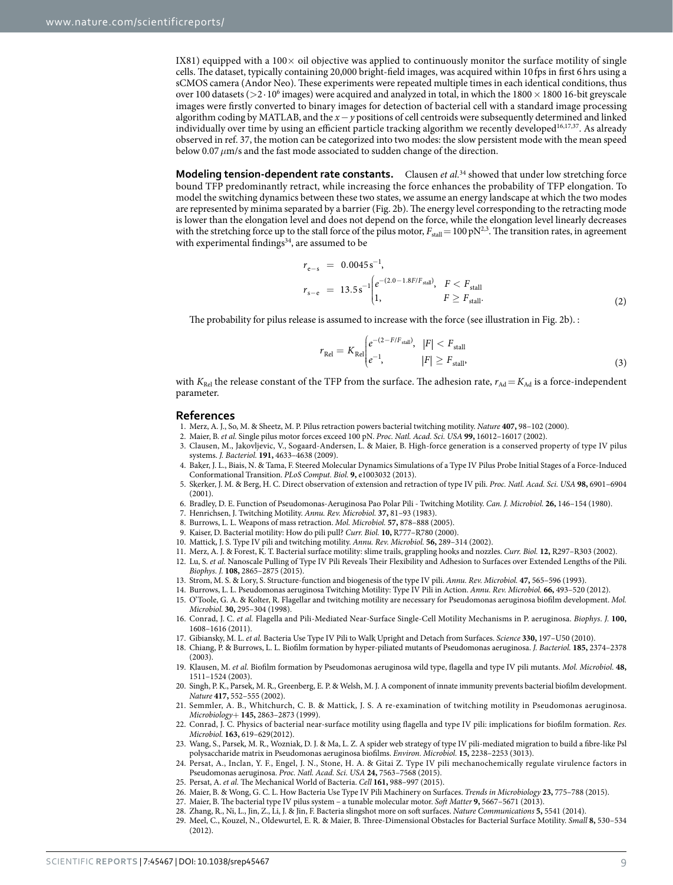IX81) equipped with a  $100\times$  oil objective was applied to continuously monitor the surface motility of single cells. The dataset, typically containing 20,000 bright-field images, was acquired within 10 fps in first 6hrs using a sCMOS camera (Andor Neo). These experiments were repeated multiple times in each identical conditions, thus over 100 datasets ( $>$ 2·10<sup>6</sup> images) were acquired and analyzed in total, in which the 1800  $\times$  1800 16-bit greyscale images were firstly converted to binary images for detection of bacterial cell with a standard image processing algorithm coding by MATLAB, and the *x*− *y* positions of cell centroids were subsequently determined and linked individually over time by using an efficient particle tracking algorithm we recently developed<sup>[16](#page-8-4),[17](#page-8-5),37</sup>. As already observed in ref. [37,](#page-9-5) the motion can be categorized into two modes: the slow persistent mode with the mean speed below 0.07*μ*m/s and the fast mode associated to sudden change of the direction.

**Modeling tension-dependent rate constants.** Clausen *et al.*[34](#page-9-2) showed that under low stretching force bound TFP predominantly retract, while increasing the force enhances the probability of TFP elongation. To model the switching dynamics between these two states, we assume an energy landscape at which the two modes are represented by minima separated by a barrier [\(Fig. 2b](#page-2-0)). The energy level corresponding to the retracting mode is lower than the elongation level and does not depend on the force, while the elongation level linearly decreases with the stretching force up to the stall force of the pilus motor,  $F_{\text{stall}} = 100 \text{ pN}^{2.3}$ . The transition rates, in agreement with experimental findings<sup>34</sup>, are assumed to be

$$
r_{e-s} = 0.0045 s^{-1},
$$
  
\n
$$
r_{s-e} = 13.5 s^{-1} \begin{cases} e^{-(2.0 - 1.8F/F_{\text{stall}})}, & F < F_{\text{stall}} \\ 1, & F \ge F_{\text{stall}}. \end{cases}
$$
 (2)

The probability for pilus release is assumed to increase with the force (see illustration in [Fig. 2b\)](#page-2-0). :

$$
r_{\text{Rel}} = K_{\text{Rel}} \begin{bmatrix} e^{-(2 - F/F_{\text{stall}})}, & |F| < F_{\text{stall}} \\ e^{-1}, & |F| \geq F_{\text{stall}} \end{bmatrix} \tag{3}
$$

with  $K_{\text{Rel}}$  the release constant of the TFP from the surface. The adhesion rate,  $r_{\text{Ad}} = K_{\text{Ad}}$  is a force-independent parameter.

#### **References**

- <span id="page-8-0"></span>1. Merz, A. J., So, M. & Sheetz, M. P. Pilus retraction powers bacterial twitching motility. *Nature* **407,** 98–102 (2000).
- <span id="page-8-9"></span>2. Maier, B. *et al.* Single pilus motor forces exceed 100 pN. *Proc. Natl. Acad. Sci. USA* **99,** 16012–16017 (2002).
- <span id="page-8-8"></span>3. Clausen, M., Jakovljevic, V., Sogaard-Andersen, L. & Maier, B. High-force generation is a conserved property of type IV pilus systems. *J. Bacteriol.* **191,** 4633–4638 (2009).
- 4. Baker, J. L., Biais, N. & Tama, F. Steered Molecular Dynamics Simulations of a Type IV Pilus Probe Initial Stages of a Force-Induced Conformational Transition. *PLoS Comput. Biol.* **9,** e1003032 (2013).
- <span id="page-8-1"></span>5. Skerker, J. M. & Berg, H. C. Direct observation of extension and retraction of type IV pili. *Proc. Natl. Acad. Sci. USA* **98,** 6901–6904 (2001).
- 6. Bradley, D. E. Function of Pseudomonas-Aeruginosa Pao Polar Pili Twitching Motility. *Can. J. Microbiol.* **26,** 146–154 (1980).
- 7. Henrichsen, J. Twitching Motility. *Annu. Rev. Microbiol.* **37,** 81–93 (1983).
- 8. Burrows, L. L. Weapons of mass retraction. *Mol. Microbiol.* **57,** 878–888 (2005).
- 9. Kaiser, D. Bacterial motility: How do pili pull? *Curr. Biol.* **10,** R777–R780 (2000).
- 10. Mattick, J. S. Type IV pili and twitching motility. *Annu. Rev. Microbiol.* **56,** 289–314 (2002).
- 11. Merz, A. J. & Forest, K. T. Bacterial surface motility: slime trails, grappling hooks and nozzles. *Curr. Biol.* **12,** R297–R303 (2002).
- <span id="page-8-10"></span>12. Lu, S. *et al.* Nanoscale Pulling of Type IV Pili Reveals Their Flexibility and Adhesion to Surfaces over Extended Lengths of the Pili. *Biophys. J.* **108,** 2865–2875 (2015).
- 13. Strom, M. S. & Lory, S. Structure-function and biogenesis of the type IV pili. *Annu. Rev. Microbiol.* **47,** 565–596 (1993).
- <span id="page-8-2"></span>14. Burrows, L. L. Pseudomonas aeruginosa Twitching Motility: Type IV Pili in Action. *Annu. Rev. Microbiol.* **66,** 493–520 (2012).
- 15. O'Toole, G. A. & Kolter, R. Flagellar and twitching motility are necessary for Pseudomonas aeruginosa biofilm development. *Mol. Microbiol.* **30,** 295–304 (1998).
- <span id="page-8-4"></span>16. Conrad, J. C. *et al.* Flagella and Pili-Mediated Near-Surface Single-Cell Motility Mechanisms in P. aeruginosa. *Biophys. J.* **100,** 1608–1616 (2011).
- <span id="page-8-5"></span>17. Gibiansky, M. L. *et al.* Bacteria Use Type IV Pili to Walk Upright and Detach from Surfaces. *Science* **330,** 197–U50 (2010).
- 18. Chiang, P. & Burrows, L. L. Biofilm formation by hyper-piliated mutants of Pseudomonas aeruginosa. *J. Bacteriol.* **185,** 2374–2378 (2003).
- 19. Klausen, M. *et al.* Biofilm formation by Pseudomonas aeruginosa wild type, flagella and type IV pili mutants. *Mol. Microbiol.* **48,** 1511–1524 (2003).
- 20. Singh, P. K., Parsek, M. R., Greenberg, E. P. & Welsh, M. J. A component of innate immunity prevents bacterial biofilm development. *Nature* **417,** 552–555 (2002).
- 21. Semmler, A. B., Whitchurch, C. B. & Mattick, J. S. A re-examination of twitching motility in Pseudomonas aeruginosa. *Microbiology*+ **145,** 2863–2873 (1999).
- 22. Conrad, J. C. Physics of bacterial near-surface motility using flagella and type IV pili: implications for biofilm formation. *Res. Microbiol.* **163,** 619–629(2012).
- 23. Wang, S., Parsek, M. R., Wozniak, D. J. & Ma, L. Z. A spider web strategy of type IV pili-mediated migration to build a fibre-like Psl polysaccharide matrix in Pseudomonas aeruginosa biofilms. *Environ. Microbiol.* **15,** 2238–2253 (3013).
- <span id="page-8-6"></span>24. Persat, A., Inclan, Y. F., Engel, J. N., Stone, H. A. & Gitai Z. Type IV pili mechanochemically regulate virulence factors in Pseudomonas aeruginosa. *Proc. Natl. Acad. Sci. USA* **24,** 7563–7568 (2015).
- <span id="page-8-7"></span>25. Persat, A. *et al.* The Mechanical World of Bacteria. *Cell* **161,** 988–997 (2015).
- 26. Maier, B. & Wong, G. C. L. How Bacteria Use Type IV Pili Machinery on Surfaces. *Trends in Microbiology* **23,** 775–788 (2015).
- <span id="page-8-3"></span>27. Maier, B. The bacterial type IV pilus system – a tunable molecular motor. *Soft Matter* **9,** 5667–5671 (2013).
- <span id="page-8-11"></span>28. Zhang, R., Ni, L., Jin, Z., Li, J. & Jin, F. Bacteria slingshot more on soft surfaces. *Nature Communications* **5,** 5541 (2014).
- 29. Meel, C., Kouzel, N., Oldewurtel, E. R. & Maier, B. Three-Dimensional Obstacles for Bacterial Surface Motility. *Small* **8,** 530–534 (2012).